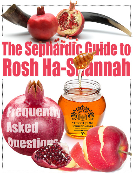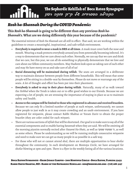# BOCA RATON SYNAGOGUE of *Rosh ha-Shannah During the COVID Pandemic:*

# **This** *Rosh ha-Shannah* **is going to be different than any previous** *Rosh ha-Shannah's.* **What are we doing differently this year because of the pandemic?**

The essential mitzvot of *Rosh Ha-Shannah* are all still in effect. That said, we are working within the guidelines to create a meaningful, inspirational, and safe tefilah environment.

- **• Everybody is required to wear a mask in BRS at all times**. A mask must cover both the nose and mouth. Wearing a mask protects everybody around you from potentially becoming infected. It's a way to demonstrate that we care about each other. Normally, we can say that we care and think that we care, but this year, we can all do something to physically demonstrate that we love and care about our fellow community members. May Hashem look upon us taking care of each other and may He have mercy on us and take care of all of us!
- **• Social distancing will be maintained during tefilah**. The seats are arranged in a deliberate way to maintain distance between people from different households. This will mean that some people will be sitting in a double-seat by themselves. Please do not move or rearrange any of the seats. A lot of thought and effort has been put into their placement.
- **• Everybody is asked to stay in their place during tefilah**. Naturally, many of us walk toward the *Heikhal* when the Torah is taken out or to offer good wishes to our friends. Because we are expecting a lot of people, we are stressing the importance of staying in place so as to maintain safety and health.
- **• Access to the campus will be limited to those who registered in advance and received bracelets.** Because we can only fit a limited number of people at each *minyan*, unfortunately, we cannot allow people to just walk in as it may create crowding and an usafe environment. If you have registered for *minyanim*, please contact Rabbi Shabtai or Yoram Zuviv to obtain the proper bracelet (they are color coded for each *minyan*).
- There are various sections of *tefilah* that will be shortened. Our goal is to make sure to say all of the essential components and to enable having *kavannah* when they are said. We will be omitting all the morning piyutim normally recited after *Hazarat Ha-Shatz*, as well as שמעך שמעתי' ה, as well as some others. Please be understanding as we will be running multiple consecutive *minyanim* and need to make sure we can get as many people in as possible in a safe way.
- For those who will not or cannot attend shul, there are multiple opportunities to hear shofar throughout the community. In each development on Montoya Circle, we have arranged for shofar blowing at 3pm and 5pm. There is a flyer in the weekly listing all of the various locations.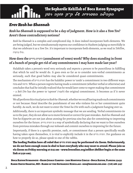# Erev Rosh ha-Shann<mark>a</mark>h

# *Rosh ha-Shannah* **is supposed to be a day of judgment. How is it also a** *Yom Tov***? Aren't those contradictory notions?**

*Rosh ha-Shannah* is a complex and complicated day. It does indeed incorporate both elements. We are being judged, but we simultaneously express our confidence in Hashem judging us mercifully in that we celebrate it as a *Yom Tov*. It's important to incorporate both elements, as we read in *Tehillim*, .וגילו ברעדה

# **How does the נדרים התרת) annulment of vows) work? Why does standing in front of a bunch of people get rid of any commitments I may have made last year?**

Halakhah takes a person's word very seriously and expects a person to be punctilious in fulfilling that which he said he would do. It goes even so far as to consider non-verbal commitments as seriously, such that good habits may also be considered quasi-commitments.

The mechanism of נדרים התרת has the halakhic power to 'undo' a commitment in two different ways: פתח and חרטה. When a person regrets having made a commitment (whether verbal or otherwise) and concludes that had he initially realized that he would later come to regret making that commitment – a *Beit Din* has the power to 'uproot' (לעקור) the original commitment. It becomes as if it never existed.

We all perform this ritual prior to *Rosh ha-Shannah*, whether we recall having made such commitments or not because *Hazal* describe the punishment of one who violates his or her commitment quite harshly. As such, we do not want to enter the *Yemei ha-Din* with such a judgment hanging over us.

Additionally, there is an important symbolic message that we are sending. Verbal commitments tie us to the past, they do not allow us to move forward or correct for past mistakes. *Rosh ha-Shannah* and *Yom ha-Kippurim* are not just about atoning for previous sins but also for committing to improving ourselves for the future. נדרים התרת is a way of symbolically declaring that we want to free ourselves from previous mistakes through our *teshuvah* and commit ourselves to improving for the future.

Importantly, if there is a specific promise, oath, or commitment that a person specifically recalls having taken upon themselves, it is vital to explicitly include it in the נדרים התרת. For guidance on how to properly do so, please speak to one of the rabbis.

The leading Poskim have all ruled that נדרים התרת may be performed via Zoom. Unfortunately, we do not have enough room in shul to host everybody who may want to attend. Please join us via Zoom on Friday morning at 6:15 am – www.brsonline.org/selihot (Selihot begin at the same link at 5:30 am).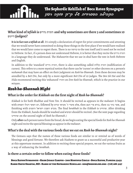# **What kind of** *tefilah* **is נדרים התרת and why sometimes are there 3 and sometimes 10 ?(judges (דיינים**

**It is in fact not a** *tefilah* **at all**. It's simply a declaration of regret for prior commitments and attesting that we would never have committed to doing these things in the first place if we would have realized that we would later come to regret them. There is no קדושה to the text itself and it need not be recited in Hebrew. In fact, if a person does not understand Hebrew, it is better that they recite the נדרים התרת in a language they do understand. The *Mahazorim* that we use in shul have the text in both Hebrew and English.

In addition to the 'standard' נדרים התרת, there is also something called קללות התרת) nullification of curses). This refers to a more mystical notion that there can be 'curses' or other decrees on a person's *neshamah* that may have an effect on their judgment on *Rosh ha-Shannah*. Even these decrees may be annulled by a *Beit Din*, but only by a more significant *Beit Din* of 10 judges. The *Ben Ish Hai* and the *Hida* recommend reciting this 'enhanced' התרה on *Erev Rosh ha-Shannah*, which is the practice in our *minyan*.

# *Rosh ha-Shannah Night*

# **What is the order for** *Kiddush* **on the first night of** *Rosh ha-Shannah***?**

*Kiddush* is for both Shabbat and Yom Tov. It should be recited as appears in the *mahazor:* It begins and ,אשר בחר בנו then ,בורא פרי הגפן then ,אלא מועדי ה' מקראי קודש by followed ,יום הששי ויכולו השמים with finishing with והזמנים וישראל השבת מקדש. The final *berakhah* in the *Kiddush* is שהחיינו. After drinking from the *Kiddush*, hands should be washed and המוציא should be recited. (See the next page regarding שהחיינו on the second night of *Rosh ha-Shannah*.)

Only **after** each person tastes from the bread, do we begin eating the special foods for *Rosh ha-Shannah* night and recite the special blessings as appear in the *mahazor*.

# **What's the deal with the various foods that we eat on** *Rosh ha-Shannah* **night?**

The Gemara says that the names of these various foods are similar to or remind us of words of blessings and good fortune. We therefore ask Hashem to grant us a successful and productive year at this opportune moment. In addition to reciting these special prayers, we eat the various fruits as a way of enhancing the *berakhah*.

### **Is there a certain order to follow when eating these foods?**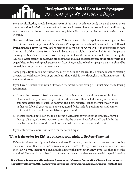THE SEPHARDIC KEHILLAH Yes. Specifically, they should be eaten as part of the meal, which practically means that we may eat them only **after** *kiddush* and *ha-motzi* and after each person has eaten some bread. Additionally, when presented with a variety of fruits and vegetables, there is a particular order of *berakhot* to keep in mind.

The first food that should be eaten is dates. (This is a general rule that applies when eating a number of fruits and is not unique to *Rosh ha-Shannah*.) **The special רצון יהי should be recited first, followed by the** *berakhah* **of העץ פרי בורא.** Before making the *berakhah* of העץ פרי בורא, it is appropriate to have in mind all of the various fruits that will be eaten that night. It is often helpful for the person reciting the *berakhah* to remind those joining him to have this in mind as well before reciting the *berakhah*. **After eating the dates, no other** *berakhot* **should be recited for any of the other fruits and vegetables**. Before eating each subsequent fruit of vegetable, **only** the appropriate רצון יהי should be  $recited$ , but  $no$  בורא פרי האדמה  $o$  בורא פרי האדמה.

Some people try to eat a new fruit on the night of *Rosh ha-Shannah*. It is a symbolic way of starting the new year with extra dose of gratitude for that which is new through an additional שהחיינו ;**it is not a requirement**.

If you have a new fruit and would like to recite a שהחיינו before eating it, it must meet the following requirements:

- 1. It must be a **seasonal fruit** meaning, that it is not available all year round in South Florida and that you have not yet eaten it this season. This excludes many of the more common 'exotic' fruits (such as papayas and pomegranates) since the vast majority are in fact available all year round. Some suggested fruits include persimmons and passion fruit, which are usually not available all year round.
- 2. The fruit should **not** be on the table during *Kiddush* (since we recite the *berakhah* of שהחיינו during *Kiddush*, if the fruit were on the table, the שהחיינו of *Kiddush* would qualify for the new fruit as well and we then couldn't then make a separate שהחיינו on the fruit).

If you only have one new fruit, save it for the second night.

# **What is the order for** *Kiddush* **on the second night of** *Rosh ha-Shannah***?**

*Kiddush* for the second night includes a section of Havadalah, considering that we are transitioning for a day of joint Shabbat-Yom Tov to one of just Yom Tov. It begins with האלא מועדי ה' מקראי then בורא פרי הגפן, then נהזמנים , and finishing with המקדש השבת וישראל והזמנים, אשר בחר בנו then ,בורא פרי הגפן 'standard' Motza'ei Shabbat berakhah of האש מאורי בורא, and then conclude with a special section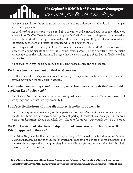The SEPHARDIC KEHillahardic Ke $\mathbb{R}^n$ .<br>המבדיל בין קודש לקודש. of that seems similar to the standard *Havadalah* (with some differences) and ends with 'ה אתה ברוך

For the *berakhah* of האש מאורי בורא **do not** light a separate candle. Instead, use the candles that were already lit for *Yom Tov*. There is a debate among the *Poskim* if it's proper to bring two candles together to recite the *berakhah* or if it's preferable to leave them where they are. The general practice is to leave the candles as they are and recite the *berakhah* while looking at them all.

Even though it is the second night of *Yom Tov*, we nonetheless recite the *berakhah* of שהחיינו. However, since there is some dispute about this issue, some *Poskim* suggest placing a new fruit (that meets the criteria above) on the table during *Kiddush*, so that the שהחיינו can qualify for both *Kiddush* as well as the new fruit.

No *berakhah* of שהחיינו should be recited on this fruit subsequently during the meal.

### **Do I have to eat a new fruit on** *Rosh ha-Shannah***?**

No. It is a beautiful *minhag*. As mentioned previously, when possible, on the second night it is best to have a new fruit on the table during *Kiddush*.

### **I remember something about not eating nuts. Are there any foods that we should avoid on** *Rosh ha-Shannah***?**

The *Shulhan Arukh* recommends avoiding eating walnuts and red grapes. These are matters of stringency and are not strictly prohibited.

# **I don't really like honey. Is it really a mitzvah to dip an apple in it?**

There is no requirement to eat any of these particular foods on *Rosh ha-Shannah*. Rather, these are beautiful customs that have become quite prevalent (perhaps because of a song many of our children learn in kindergarten). If you particularly don't like one of the foods, you certainly don't have to eat it.

# **On** *Rosh ha-Shannah,* **do I have to dip the bread from** *ha-motzi* **in honey as well? What happened to the salt?**

The *Kaf ha-Hayyim* notes that the common Sephardic practice is to dip the bread in salt on *Rosh ha-Shannah*, just as we do during the rest of the year. Some Sephardim also dip the bread in honey (and some continue the practice through *Sukkot*), but the *Kaf ha-Hayyim* recommends that for Kabbalistic reasons, they dip it in salt first.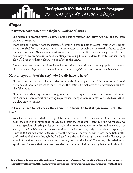# Shofar **Shofar**

# **Do women have to hear the** *shofar* **on** *Rosh ha-Shannah***?**

The mitzvah to hear the *shofar* is a time bound positive mitzvah (גרמא שהזמן עשה מצות (and therefore women are exempt.

Many women, however, have the custom of coming to shul to hear the *shofar*. Women who cannot make it to shul for whatever reason, may even request that somebody come to their house to blow the *shofar* for them. **This is not a requirement**, but rather an additional stringency. If you know of anybody (man or woman) who does not anticipate making it to shul and would like to have somebody blow *shofar* in their home, please let one of the rabbis know.

Since women are not technically obligated to hear the *shofar* (although they may opt in), if a woman chooses to hear *shofar* on her own (not in the context of *tefilah*), she does not recite a *berakhah*.

# **How many sounds of the** *shofar* **do I really have to hear?**

The universal practice is to blow a total of 100 sounds of the *shofar* in shul. It is important to hear all of them and therefore we ask for silence while the *shofar* is being blown so that everybody can hear all of the sounds.

These 100 sounds are spread out throughout much of the *tefilah*. However, the absolute minimum is 30 sounds. Therefore, when blowing *shofar* for somebody who was unable to attend *tefilah* in Shul, we blow only 30 sounds.

# **Do I really have to not speak the entire time from the first** *shofar* **sound until the last?**

We all know that it is forbidden to speak from the time we recite a *berakhah* until the time that we fulfill the action or mitzvah that the *berakhah* refers to. For example, after reciting העץ פרי בורא, we may not speak until taking a bite of the apple. The same rule applies to *shofar*. Before we blow the *shofar*, the *ba'al toke'a* (תוקע בעל (makes *berakhot* on behalf of everybody, to which we respond אמן. Since all 100 sounds of the *shofar* are part of the mitzvah – beginning with those immediately after the *berakhah* all the way through the final *kaddish* at the end of *mussaf* – the mitzvah of hearing the sound of the *shofar* is not complete until the very last sound is heard. Therefore, **it is forbidden to speak from the time that the initial** *berakhah* **is recited until after the very last sound is heard**.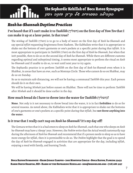# BOCA RATON SYNAGOGUE of *Rosh ha-Shannah Daytime Practices*

# **I've heard that if I can't make it to** *Tashlikh* **(תשליך (on the first day of** *Yom Tov* **that I can make it up at a later point. Is that true?**

The *minhag* of *Tashlikh* (תשליך (is to go to a body of water on the first day of *Rosh ha-Shannah* and say special *tefilot* requesting forgiveness from Hashem. The Kabbalists write that it is appropriate to shake out the bottom of one's garments or one's pockets at a specific point during that *tefilah*. It is most appropriate to participate in *Tashlikh* (תשליך (on the first day of *Rosh ha-Shannah*, but when that isn't possible, then to do so on the second day of *Rosh ha-Shannah*. While there are different customs regarding optimal and suboptimal timing, it seems most appropriate to perform the ritual on *Rosh ha-Shannah* and if unable to do so, to wait until next year to try again.

The Sephardic practice is to perform *Tashlikh* on the first day of *Rosh ha-Shannah* even when it is Shabbat, in areas that have an *eruv*, such as Montoya Circle. Those who cannot do so on Shabbat, may do so on Sunday.

So as to maintain safe distancing, we will not be having a communal *Tashlikh* this year. Each person should do it on their own.

We will be having *Minhah* just before sunset on Shabbat. There will not be time to perform *Tashlikh* after *Minhah* and it should be done earlier in the day.

# **How much bread do I have to throw into the water for** *Tashlikh* **(תשליך?(**

**None**. Not only is it not necessary to throw bread into the water, it is in fact **forbidden** to do so for several reasons. As noted above, the Kabbalists write that it is appropriate to shake out the bottoms of one's garments or one's pockets at a specific point during that *tefilah*, but **not throw anything into the water**.

# **Is it true that I really can't nap on** *Rosh ha-Shannah***? It's my day off!**

The Gemara writes that it is a bad omen to sleep on *Rosh ha-Shannah*, such that one who sleeps on *Rosh ha-Shannah* may have a 'sleepy' year. However, the *Poskim* write that the Arizal would customarily nap during the afternoon of *Rosh ha-Shannah* and recommend that if a person needs to sleep so as to have more energy for *tefilah*, then it is permissible to do so. The *Poskim* highlight that the goal is to spend the day of *Rosh ha-Shannah* engaged in activities that are appropriate for the day, including *tefilah*, enjoying a meal with family, and learning Torah.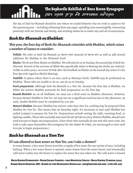THE SEPHARDIC KEHILLAH The day of Rosh ha-Shannah should be one where we model behavior that we wish to aspire to for the upcoming year – including refraining from any anger, spending time meaningfully, interacting positively with our friends and family, and avoiding *lashon ha-ra* under any and all circumstances.

# *Rosh Ha-Shannah on Shabbat:*

# **This year, the first day of Rosh Ha-Shannah coincides with Shabbat, which raises a number of issues to consider:**

**Tefilah**: We refer to *Rosh Ha-Shannah* as תרועה זכרון) instead of תרועה יום (as well as add several additions for Shabbat in the *Shemoneh Esreh*.

**Shofar**: We do not blow Shofar on Shabbat. We will only do so on Sunday, the second day of *Rosh Ha-Shannah*. Several of the sections of *tefilah* that specifically relate to blowing the shofar are omitted. Unlike in other years, we recite שהחיינו after the *berakhah* on Shofar on the second day (since it's the first day with regard to Shofar blowing).

*Tashlikh*: In places where there is an eruv, such as Montoya Circle, *Tashlikh* may be performed on Shabbat. Those who are unable to do so, can do so on Sunday.

**Food preparation**: Although *Rosh Ha-Shannah* is a *Yom Tov*, because the first day is Shabbat, we follow the stricter Shabbat protocols for food preparation on the first day.

*Seudah Shelishit*: As on all *Shabbatot*, we must eat a third meal on Shabbat afternoon. However, because *Motza'ei Shabbat* is *Yom Tov*, we may not eat a significant meal too late in the afternoon. As such, *Seudah Shelishit* must be completed by 4:47 pm.

*Motza'ei Shabbat*: Because Shabbat has stricter rules than *Yom Tov*, nothing may be prepared from Shabbat for *Yom Tov*. This means that on Saturday night, it's necessary to wait until Shabbat has ended (7:55pm) to prepare for *Yom Tov*. Preparations include setting the table, warming food, or lighting candles. Those who normally wait until the תם רבנו זמן on every *Motza'ei Shabbat*, should wait until 8:29 pm to begin any preparations. (Even those who normally do not wait this extra time, but wish to take upon themselves this stringency for the תשובה ימי עשרת, are encouraged to wait until 8:29 pm to begin preparations.)

# *Rosh ha-Shannah as a Yom Tov*

### **If I am allowed to heat water on** *Yom Tov***, can I take a shower?**

In many homes, a hot water heater provides a supply of hot water for any variety of uses, including bathing. When a hot water faucet is opened, water drains from the water heater and [eventually] cold water rushes into the heater to replace the water that was taken out. The cold water is heated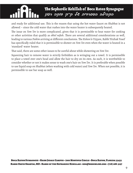THE SEPHARDIC KEHILLAH allowed – since the cold water that rushes into the water heater is subsequently heated. and ready for additional use. This is the reason that using the hot water faucet on Shabbat is not

The issue on *Yom Tov* is more complicated, given that it is permissible to heat water for cooking or other activities that qualify as *okhel nefesh*. There are several additional considerations as well, leading to various *Poskim* arriving at different conclusions. The *Rishon le-Tziyyon*, Rabbi Yitzhak Yosef has specifically ruled that it is permissible to shower on *Yom Tov* even when the water is heated in a 'standard' water heater.

That said, there are some other issues to be careful about while showering on *Yom Tov*:

Squeezing hair to remove water is strictly forbidden as is wringing out a towel. It is permissible to place a towel over one's head and allow the hair to dry on its own. As such, it is worthwhile to consider whether or not it makes sense to wash one's hair on *Yom Tov*. It is preferable when possible to use liquid soap on Shabbat (when washing with cold water) and *Yom Tov*. When not possible, it is permissible to use bar soap as well.